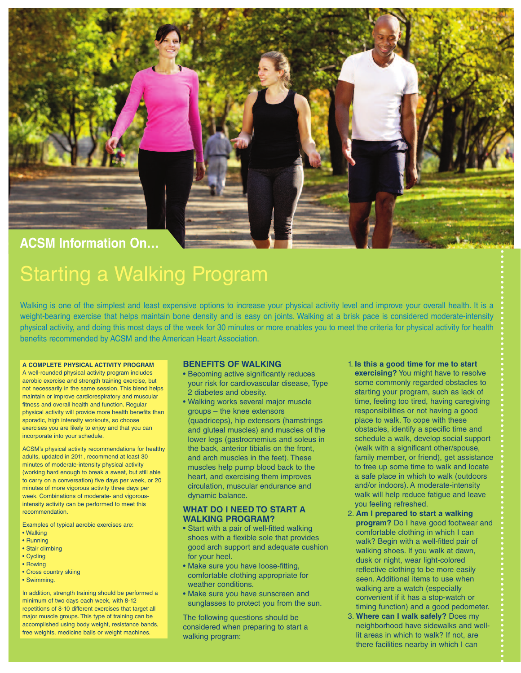

# **ACSM Information On…**

# Starting a Walking Program

Walking is one of the simplest and least expensive options to increase your physical activity level and improve your overall health. It is a weight-bearing exercise that helps maintain bone density and is easy on joints. Walking at a brisk pace is considered moderate-intensity physical activity, and doing this most days of the week for 30 minutes or more enables you to meet the criteria for physical activity for health benefits recommended by ACSM and the American Heart Association.

#### **A COMPLETE PHYSICAL ACTIVITY PROGRAM**

A well-rounded physical activity program includes aerobic exercise and strength training exercise, but not necessarily in the same session. This blend helps maintain or improve cardiorespiratory and muscular fitness and overall health and function. Regular physical activity will provide more health benefits than sporadic, high intensity workouts, so choose exercises you are likely to enjoy and that you can incorporate into your schedule.

ACSM's physical activity recommendations for healthy adults, updated in 2011, recommend at least 30 minutes of moderate-intensity physical activity (working hard enough to break a sweat, but still able to carry on a conversation) five days per week, or 20 minutes of more vigorous activity three days per week. Combinations of moderate- and vigorousintensity activity can be performed to meet this recommendation.

Examples of typical aerobic exercises are:

- Walking
- Running
- Stair climbing
- Cycling • Rowing
- Cross country skiing
- Swimming.

In addition, strength training should be performed a minimum of two days each week, with 8-12 repetitions of 8-10 different exercises that target all major muscle groups. This type of training can be accomplished using body weight, resistance bands, free weights, medicine balls or weight machines.

# **BENEFITS OF WALKING**

- Becoming active significantly reduces your risk for cardiovascular disease, Type 2 diabetes and obesity.
- Walking works several major muscle groups – the knee extensors (quadriceps), hip extensors (hamstrings and gluteal muscles) and muscles of the lower legs (gastrocnemius and soleus in the back, anterior tibialis on the front, and arch muscles in the feet). These muscles help pump blood back to the heart, and exercising them improves circulation, muscular endurance and dynamic balance.

### **WHAT DO I NEED TO START A WALKING PROGRAM?**

- Start with a pair of well-fitted walking shoes with a flexible sole that provides good arch support and adequate cushion for your heel.
- Make sure you have loose-fitting, comfortable clothing appropriate for weather conditions.
- Make sure you have sunscreen and sunglasses to protect you from the sun.

The following questions should be considered when preparing to start a walking program:

- 1. **Is this a good time for me to start exercising?** You might have to resolve some commonly regarded obstacles to starting your program, such as lack of time, feeling too tired, having caregiving responsibilities or not having a good place to walk. To cope with these obstacles, identify a specific time and schedule a walk, develop social support (walk with a significant other/spouse, family member, or friend), get assistance to free up some time to walk and locate a safe place in which to walk (outdoors and/or indoors). A moderate-intensity walk will help reduce fatigue and leave you feeling refreshed.
- 2. **Am I prepared to start a walking program?** Do I have good footwear and comfortable clothing in which I can walk? Begin with a well-fitted pair of walking shoes. If you walk at dawn, dusk or night, wear light-colored reflective clothing to be more easily seen. Additional items to use when walking are a watch (especially convenient if it has a stop-watch or timing function) and a good pedometer.
- 3. **Where can I walk safely?** Does my neighborhood have sidewalks and welllit areas in which to walk? If not, are there facilities nearby in which I can